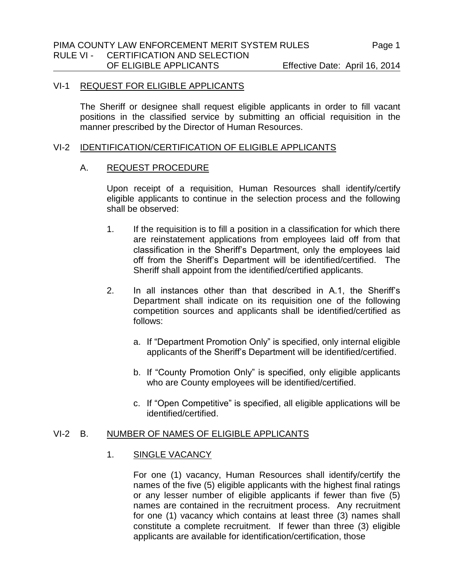# VI-1 REQUEST FOR ELIGIBLE APPLICANTS

The Sheriff or designee shall request eligible applicants in order to fill vacant positions in the classified service by submitting an official requisition in the manner prescribed by the Director of Human Resources.

#### VI-2 IDENTIFICATION/CERTIFICATION OF ELIGIBLE APPLICANTS

## A. REQUEST PROCEDURE

Upon receipt of a requisition, Human Resources shall identify/certify eligible applicants to continue in the selection process and the following shall be observed:

- 1. If the requisition is to fill a position in a classification for which there are reinstatement applications from employees laid off from that classification in the Sheriff's Department, only the employees laid off from the Sheriff's Department will be identified/certified. The Sheriff shall appoint from the identified/certified applicants.
- 2. In all instances other than that described in A.1, the Sheriff's Department shall indicate on its requisition one of the following competition sources and applicants shall be identified/certified as follows:
	- a. If "Department Promotion Only" is specified, only internal eligible applicants of the Sheriff's Department will be identified/certified.
	- b. If "County Promotion Only" is specified, only eligible applicants who are County employees will be identified/certified.
	- c. If "Open Competitive" is specified, all eligible applications will be identified/certified.

### VI-2 B. NUMBER OF NAMES OF ELIGIBLE APPLICANTS

### 1. SINGLE VACANCY

For one (1) vacancy, Human Resources shall identify/certify the names of the five (5) eligible applicants with the highest final ratings or any lesser number of eligible applicants if fewer than five (5) names are contained in the recruitment process. Any recruitment for one (1) vacancy which contains at least three (3) names shall constitute a complete recruitment. If fewer than three (3) eligible applicants are available for identification/certification, those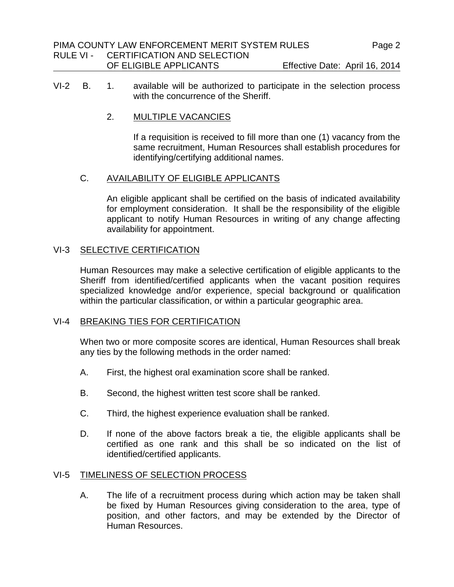- VI-2 B. 1. available will be authorized to participate in the selection process with the concurrence of the Sheriff.
	- 2. MULTIPLE VACANCIES

If a requisition is received to fill more than one (1) vacancy from the same recruitment, Human Resources shall establish procedures for identifying/certifying additional names.

## C. AVAILABILITY OF ELIGIBLE APPLICANTS

An eligible applicant shall be certified on the basis of indicated availability for employment consideration. It shall be the responsibility of the eligible applicant to notify Human Resources in writing of any change affecting availability for appointment.

# VI-3 SELECTIVE CERTIFICATION

Human Resources may make a selective certification of eligible applicants to the Sheriff from identified/certified applicants when the vacant position requires specialized knowledge and/or experience, special background or qualification within the particular classification, or within a particular geographic area.

# VI-4 BREAKING TIES FOR CERTIFICATION

When two or more composite scores are identical, Human Resources shall break any ties by the following methods in the order named:

- A. First, the highest oral examination score shall be ranked.
- B. Second, the highest written test score shall be ranked.
- C. Third, the highest experience evaluation shall be ranked.
- D. If none of the above factors break a tie, the eligible applicants shall be certified as one rank and this shall be so indicated on the list of identified/certified applicants.

### VI-5 TIMELINESS OF SELECTION PROCESS

A. The life of a recruitment process during which action may be taken shall be fixed by Human Resources giving consideration to the area, type of position, and other factors, and may be extended by the Director of Human Resources.